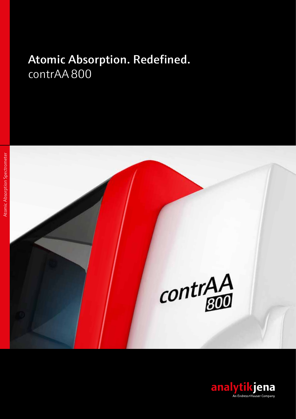# [Atomic Absorption. Redefined.](https://www.analytik-jena.de/en/analytical-instrumentation/products/atomic-absorption-spectrometry/hr-cs-aas/contraar-800-d.html?utm_source=Br-contrAA-800-en&utm_medium=PDF&utm_campaign=contrAA) [contrAA](https://www.analytik-jena.com/products/elemental-analysis/aas/contraa-800/?utm_source=Brochure%20contrAA800%20en&utm_medium=PDF&utm_campaign=contrAA800) 800



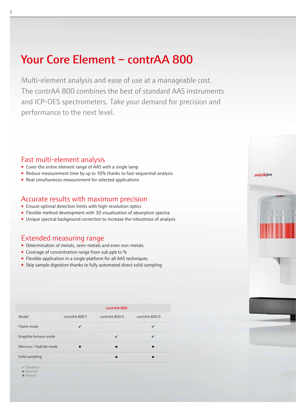# Your Core Element – c[ontrAA 800](https://www.analytik-jena.com/products/elemental-analysis/aas/contraa-800/?utm_source=Brochure%20contrAA800%20en&utm_medium=PDF&utm_campaign=contrAA800)

Multi-element analysis and ease of use at a manageable cost. The [contrAA 800](https://www.analytik-jena.com/products/elemental-analysis/aas/contraa-800/?utm_source=Brochure%20contrAA800%20en&utm_medium=PDF&utm_campaign=contrAA800) combines the best of standard AAS instruments and ICP-OES spectrometers. Take your demand for precision and performance to the next level.

# Fast multi-element analysis

- Cover the entire element range of AAS with a single lamp
- Reduce measurement time by up to 30% thanks to fast-sequential analysis
- Real simultaneous measurement for selected applications

# [Accurate results with maximum precision](https://www.analytik-jena.de/en/analytical-instrumentation/products/atomic-absorption-spectrometry/hr-cs-aas/features-contraar-800.html?utm_source=Br-contrAA-800-en&utm_medium=PDF&utm_campaign=contrAA)

- Ensure optimal detection limits with high-resolution optics
- Flexible method development with 3D visualization of absorption spectra
- Unique spectral background correction to increase the robustness of analysis

# Extended measuring range

- Determination of metals, semi-metals and even non-metals
- Coverage of concentration range from sub ppb to %
- Flexible application in a single platform for all AAS techniques
- Skip sample digestion thanks to fully automated direct solid sampling

|                        | contrAA 800   |               |               |
|------------------------|---------------|---------------|---------------|
| Model                  | contrAA 800 F | contrAA 800 G | contrAA 800 D |
| Flame mode             | ✓             |               | ✓             |
| Graphite furnace mode  |               | ✓             | ✓             |
| Mercury / Hydride mode | ▬             |               |               |
| Solid sampling         |               |               |               |

 $\checkmark$  Standard

■ Optional ● HydrEA





2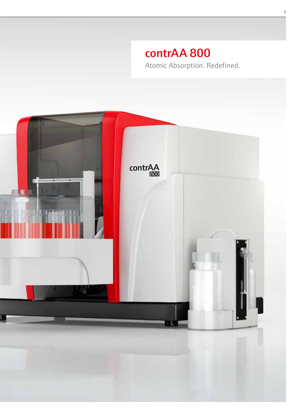# [contrAA 800](https://www.analytik-jena.com/products/elemental-analysis/aas/contraa-800/?utm_source=Brochure%20contrAA800%20en&utm_medium=PDF&utm_campaign=contrAA800)

Atomic Absorption. Redefined.

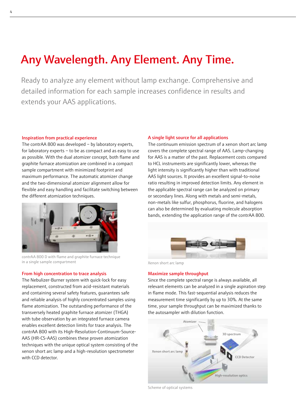# Any Wavelength. Any Element. Any Time.

Ready to analyze any element without lamp exchange. Comprehensive and detailed information for each sample increases confidence in results and extends your AAS applications.

#### Inspiration from practical experience

The [contrAA 800](https://www.analytik-jena.com/products/elemental-analysis/aas/contraa-800/?utm_source=Brochure%20contrAA800%20en&utm_medium=PDF&utm_campaign=contrAA800) was developed – by laboratory experts, for laboratory experts – to be as compact and as easy to use as possible. With the dual atomizer concept, both flame and graphite furnace atomization are combined in a compact sample compartment with minimized footprint and maximum performance. The automatic atomizer change and the two-dimensional atomizer alignment allow for flexible and easy handling and facilitate switching between the different atomization techniques.



contrAA 800 D with flame and graphite furnace technique in a single sample compartment **[Xenon short arc lamp](https://www.analytik-jena.com/products/elemental-analysis/aas/contraa-800/contraa-800-technology-highlights/?utm_source=Brochure%20contrAA800%20en&utm_medium=PDF&utm_campaign=contrAA800)** Xenon short arc lamp

#### From high concentration to trace analysis

The Nebulizer-Burner system with quick-lock for easy replacement, constructed from acid-resistant materials and containing several safety features, guarantees safe and reliable analysis of highly concentrated samples using flame atomization. The outstanding performance of the transversely heated graphite furnace atomizer (THGA) with tube observation by an integrated furnace camera enables excellent detection limits for trace analysis. The [contrAA 800](https://www.analytik-jena.com/products/elemental-analysis/aas/contraa-800/?utm_source=Brochure%20contrAA800%20en&utm_medium=PDF&utm_campaign=contrAA800) with its High-Resolution-Continuum-Source-AAS (HR-CS-AAS) combines these proven atomization techniques with the unique optical system consisting of the xenon short arc lamp and a high-resolution spectrometer with CCD detector.

## A single light source for all applications

The continuum emission spectrum of a xenon short arc lamp covers the complete spectral range of AAS. Lamp-changing for AAS is a matter of the past. Replacement costs compared to HCL instruments are significantly lower, whereas the light intensity is significantly higher than with traditional AAS light sources. It provides an excellent signal-to-noise ratio resulting in improved detection limits. Any element in the applicable spectral range can be analyzed on primary or secondary lines. Along with metals and semi-metals, non-metals like sulfur, phosphorus, fluorine, and halogens can also be determined by evaluating molecule absorption bands, extending the application range of the contrAA 800.



#### Maximize sample throughput

Since the complete spectral range is always available, all relevant elements can be analyzed in a single aspiration step in flame mode. This fast-sequential analysis reduces the measurement time significantly by up to 30%. At the same [time, your sample throughput can be maximized thanks to](https://www.analytik-jena.com/products/elemental-analysis/aas/contraa-800/?utm_source=Brochure%20contrAA800%20en&utm_medium=PDF&utm_campaign=multiEA5100)  the autosampler with dilution function.



[Scheme of optical systems](https://www.analytik-jena.com/products/elemental-analysis/aas/contraa-800/?utm_source=Brochure%20contrAA800%20en&utm_medium=PDF&utm_campaign=contrAA800)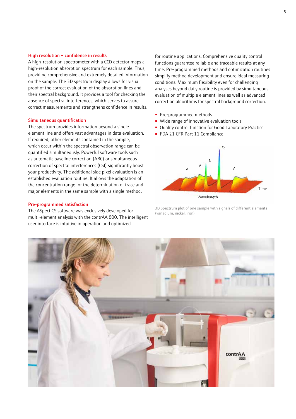#### High resolution – confidence in results

A high-resolution spectrometer with a CCD detector maps a high-resolution absorption spectrum for each sample. Thus, providing comprehensive and extremely detailed information on the sample. The 3D spectrum display allows for visual proof of the correct evaluation of the absorption lines and their spectral background. It provides a tool for checking the absence of spectral interferences, which serves to assure correct measurements and strengthens confidence in results.

#### Simultaneous quantification

The spectrum provides information beyond a single element line and offers vast advantages in data evaluation. If required, other elements contained in the sample, which occur within the spectral observation range can be quantified simultaneously. Powerful software tools such as automatic baseline correction (ABC) or simultaneous correction of spectral interferences (CSI) significantly boost your productivity. The additional side pixel evaluation is an established evaluation routine. It allows the adaptation of the concentration range for the determination of trace and major elements in the same sample with a single method.

### Pre-programmed satisfaction

The ASpect CS software was exclusively developed for multi-element analysis with the [contrAA 800](https://www.analytik-jena.com/products/elemental-analysis/aas/contraa-800/?utm_source=Brochure%20contrAA800%20en&utm_medium=PDF&utm_campaign=contrAA800). The intelligent user interface is intuitive in operation and optimized

for routine applications. Comprehensive quality control functions guarantee reliable and traceable results at any time. Pre-programmed methods and optimization routines simplify method development and ensure ideal measuring conditions. Maximum flexibility even for challenging analyses beyond daily routine is provided by simultaneous evaluation of multiple element lines as well as advanced correction algorithms for spectral background correction.

- Pre-programmed methods
- Wide range of innovative evaluation tools
- Quality control function for Good Laboratory Practice
- FDA 21 CFR Part 11 Compliance



Wavelength

3D Spectrum plot of one sample with signals of different elements (vanadium, nickel, iron)

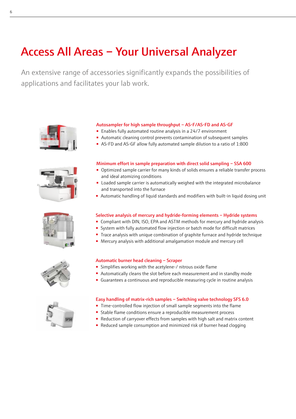# Access All Areas – Your Universal Analyzer

An extensive range of accessories significantly expands the possibilities of applications and facilitates your lab work.











## [Autosampler for high sample throughput – AS-F/AS-FD and AS-GF](https://www.analytik-jena.com/products/elemental-analysis/accessories-element-analysis/?utm_source=Brochure%20contrAA800%20en&utm_medium=PDF&utm_campaign=contrAA800#c5840)

- Enables fully automated routine analysis in a 24/7 environment
- Automatic cleaning control prevents contamination of subsequent samples
- AS-FD and AS-GF allow fully automated sample dilution to a ratio of 1:800

#### [Minimum effort in sample preparation with direct solid sampling – SSA 600](https://www.analytik-jena.com/products/elemental-analysis/accessories-element-analysis/direct-solid-aas-solid-aa/?utm_source=Brochure%20contrAA800%20en&utm_medium=PDF&utm_campaign=contrAA800)

- Optimized sample carrier for many kinds of solids ensures a reliable transfer process and ideal atomizing conditions
- Loaded sample carrier is automatically weighed with the integrated microbalance and transported into the furnace
- Automatic handling of liquid standards and modifiers with built-in liquid dosing unit

## [Selective analysis of mercury and hydride-forming elements – Hydride systems](https://www.analytik-jena.com/products/elemental-analysis/accessories-element-analysis/?utm_source=Brochure%20contrAA800%20en&utm_medium=PDF&utm_campaign=contrAA800#c5837)

- Compliant with DIN, ISO, EPA and ASTM methods for mercury and hydride analysis
- System with fully automated flow injection or batch mode for difficult matrices
- Trace analysis with unique combination of graphite furnace and hydride technique
- Mercury analysis with additional amalgamation module and mercury cell

### [Automatic burner head cleaning – Scraper](https://www.analytik-jena.com/products/elemental-analysis/accessories-element-analysis/?utm_source=Brochure%20contrAA800%20en&utm_medium=PDF&utm_campaign=contrAA800#c5838)

- Simplifies working with the acetylene-/ nitrous oxide flame
- Automatically cleans the slot before each measurement and in standby mode
- Guarantees a continuous and reproducible measuring cycle in routine analysis

#### [Easy handling of matrix-rich samples – Switching valve technology SFS 6.0](https://www.analytik-jena.com/products/elemental-analysis/accessories-element-analysis/?utm_source=Brochure%20contrAA800%20en&utm_medium=PDF&utm_campaign=contrAA800#c5837)

- Time-controlled flow injection of small sample segments into the flame
- Stable flame conditions ensure a reproducible measurement process
- Reduction of carryover effects from samples with high salt and matrix content
- Reduced sample consumption and minimized risk of burner head clogging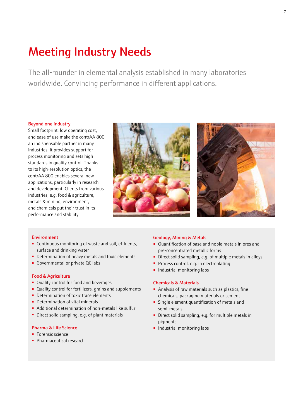# Meeting Industry Needs

The all-rounder in elemental analysis established in many laboratories worldwide. Convincing performance in different applications.

### Beyond one industry

Small footprint, low operating cost, and ease of use make th[e contrAA 800](https://www.analytik-jena.com/products/elemental-analysis/aas/contraa-800/?utm_source=Brochure%20contrAA800%20en&utm_medium=PDF&utm_campaign=contrAA800) an indispensable partner in many industries. It provides support for process monitoring and sets high standards in quality control. Thanks to its high-resolution optics, the [contrAA 800](https://www.analytik-jena.com/products/elemental-analysis/aas/contraa-800/?utm_source=Brochure%20contrAA800%20en&utm_medium=PDF&utm_campaign=contrAA800) enables several new applications, particularly in research and development. Clients from various industries, e.g. food & agriculture, metals & mining, environment, and chemicals put their trust in its performance and stability.





### Environment

- Continuous monitoring of waste and soil, effluents, surface and drinking water
- Determination of heavy metals and toxic elements
- Governmental or private QC labs

### Food & Agriculture

- Quality control for food and beverages
- Quality control for fertilizers, grains and supplements
- Determination of toxic trace elements
- Determination of vital minerals
- Additional determination of non-metals like sulfur
- Direct solid sampling, e.g. of plant materials

#### Pharma & Life Science

- Forensic science
- Pharmaceutical research

### Geology, Mining & Metals

- Quantification of base and noble metals in ores and pre-concentrated metallic forms
- Direct solid sampling, e.g. of multiple metals in alloys
- Process control, e.g. in electroplating
- Industrial monitoring labs

### Chemicals & Materials

- Analysis of raw materials such as plastics, fine chemicals, packaging materials or cement
- Single element quantification of metals and semi-metals
- Direct solid sampling, e.g. for multiple metals in pigments
- Industrial monitoring labs